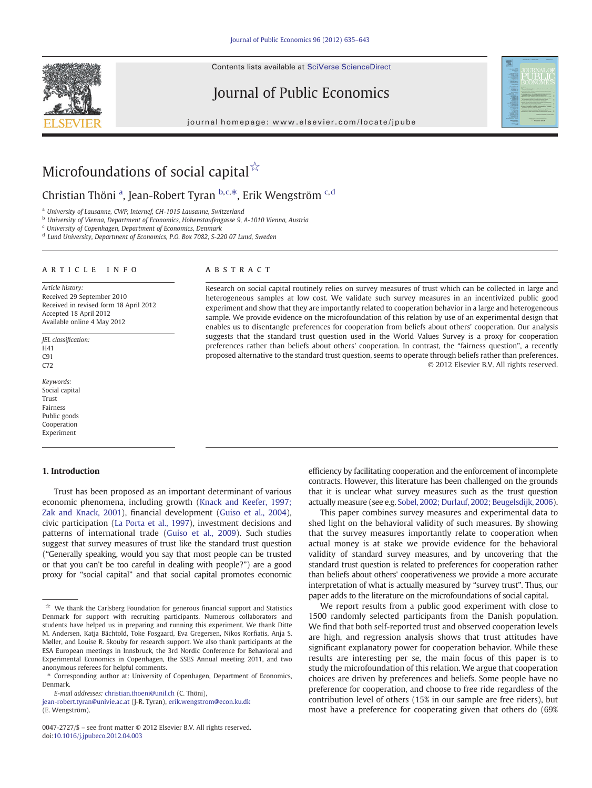Contents lists available at SciVerse ScienceDirect

## Journal of Public Economics

journal homepage: www.elsevier.com/locate/jpube





# Microfoundations of social capital☆

Christian Thöni <sup>a</sup>, Jean-Robert Tyran <sup>b,c,\*</sup>, Erik Wengström <sup>c,d</sup>

<sup>a</sup> University of Lausanne, CWP, Internef, CH-1015 Lausanne, Switzerland

b University of Vienna, Department of Economics, Hohenstaufengasse 9, A-1010 Vienna, Austria

<sup>c</sup> University of Copenhagen, Department of Economics, Denmark

<sup>d</sup> Lund University, Department of Economics, P.O. Box 7082, S-220 07 Lund, Sweden

#### article info abstract

Article history: Received 29 September 2010 Received in revised form 18 April 2012 Accepted 18 April 2012 Available online 4 May 2012

IEL classification:  $HA1$ C91 C72

Keywords: Social capital Trust Fairness Public goods Cooperation Experiment

### 1. Introduction

Trust has been proposed as an important determinant of various economic phenomena, including growth ([Knack and Keefer, 1997;](#page--1-0) [Zak and Knack, 2001](#page--1-0)), financial development [\(Guiso et al., 2004](#page--1-0)), civic participation [\(La Porta et al., 1997\)](#page--1-0), investment decisions and patterns of international trade ([Guiso et al., 2009\)](#page--1-0). Such studies suggest that survey measures of trust like the standard trust question ("Generally speaking, would you say that most people can be trusted or that you can't be too careful in dealing with people?") are a good proxy for "social capital" and that social capital promotes economic

[jean-robert.tyran@univie.ac.at](mailto:jean-robert.tyran@univie.ac.at) (J-R. Tyran), [erik.wengstrom@econ.ku.dk](mailto:erik.wengstrom@econ.ku.dk) (E. Wengström).

Research on social capital routinely relies on survey measures of trust which can be collected in large and heterogeneous samples at low cost. We validate such survey measures in an incentivized public good experiment and show that they are importantly related to cooperation behavior in a large and heterogeneous sample. We provide evidence on the microfoundation of this relation by use of an experimental design that enables us to disentangle preferences for cooperation from beliefs about others' cooperation. Our analysis suggests that the standard trust question used in the World Values Survey is a proxy for cooperation preferences rather than beliefs about others' cooperation. In contrast, the "fairness question", a recently proposed alternative to the standard trust question, seems to operate through beliefs rather than preferences. © 2012 Elsevier B.V. All rights reserved.

> efficiency by facilitating cooperation and the enforcement of incomplete contracts. However, this literature has been challenged on the grounds that it is unclear what survey measures such as the trust question actually measure (see e.g. [Sobel, 2002; Durlauf, 2002; Beugelsdijk, 2006](#page--1-0)).

> This paper combines survey measures and experimental data to shed light on the behavioral validity of such measures. By showing that the survey measures importantly relate to cooperation when actual money is at stake we provide evidence for the behavioral validity of standard survey measures, and by uncovering that the standard trust question is related to preferences for cooperation rather than beliefs about others' cooperativeness we provide a more accurate interpretation of what is actually measured by "survey trust". Thus, our paper adds to the literature on the microfoundations of social capital.

> We report results from a public good experiment with close to 1500 randomly selected participants from the Danish population. We find that both self-reported trust and observed cooperation levels are high, and regression analysis shows that trust attitudes have significant explanatory power for cooperation behavior. While these results are interesting per se, the main focus of this paper is to study the microfoundation of this relation. We argue that cooperation choices are driven by preferences and beliefs. Some people have no preference for cooperation, and choose to free ride regardless of the contribution level of others (15% in our sample are free riders), but most have a preference for cooperating given that others do (69%

 $\overrightarrow{x}$  We thank the Carlsberg Foundation for generous financial support and Statistics Denmark for support with recruiting participants. Numerous collaborators and students have helped us in preparing and running this experiment. We thank Ditte M. Andersen, Katja Bächtold, Toke Fosgaard, Eva Gregersen, Nikos Korfiatis, Anja S. Møller, and Louise R. Skouby for research support. We also thank participants at the ESA European meetings in Innsbruck, the 3rd Nordic Conference for Behavioral and Experimental Economics in Copenhagen, the SSES Annual meeting 2011, and two anonymous referees for helpful comments.

<sup>⁎</sup> Corresponding author at: University of Copenhagen, Department of Economics, Denmark.

E-mail addresses: [christian.thoeni@unil.ch](mailto:christian.thoeni@unil.ch) (C. Thöni),

<sup>0047-2727/\$</sup> – see front matter © 2012 Elsevier B.V. All rights reserved. doi:[10.1016/j.jpubeco.2012.04.003](http://dx.doi.org/10.1016/j.jpubeco.2012.04.003)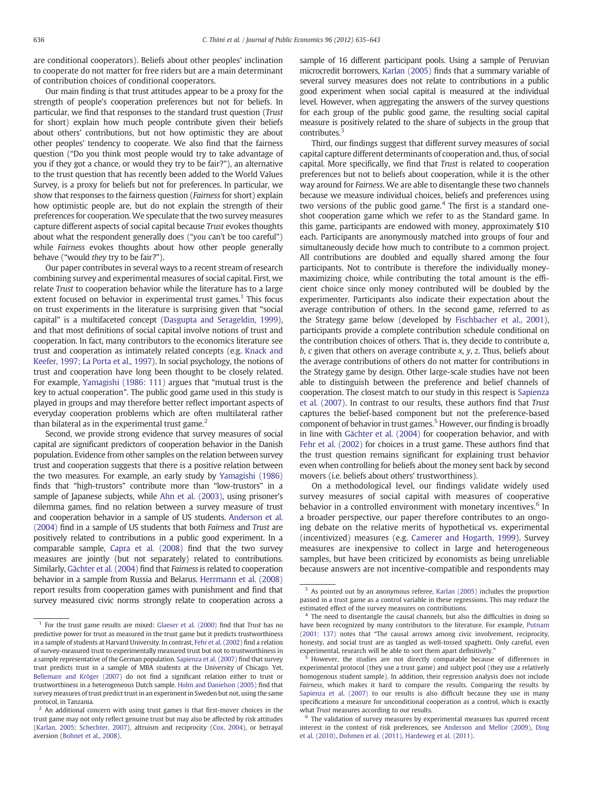are conditional cooperators). Beliefs about other peoples' inclination to cooperate do not matter for free riders but are a main determinant of contribution choices of conditional cooperators.

Our main finding is that trust attitudes appear to be a proxy for the strength of people's cooperation preferences but not for beliefs. In particular, we find that responses to the standard trust question (Trust for short) explain how much people contribute given their beliefs about others' contributions, but not how optimistic they are about other peoples' tendency to cooperate. We also find that the fairness question ("Do you think most people would try to take advantage of you if they got a chance, or would they try to be fair?"), an alternative to the trust question that has recently been added to the World Values Survey, is a proxy for beliefs but not for preferences. In particular, we show that responses to the fairness question (Fairness for short) explain how optimistic people are, but do not explain the strength of their preferences for cooperation. We speculate that the two survey measures capture different aspects of social capital because Trust evokes thoughts about what the respondent generally does ("you can't be too careful") while Fairness evokes thoughts about how other people generally behave ("would they try to be fair?").

Our paper contributes in several ways to a recent stream of research combining survey and experimental measures of social capital. First, we relate Trust to cooperation behavior while the literature has to a large extent focused on behavior in experimental trust games.<sup>1</sup> This focus on trust experiments in the literature is surprising given that "social capital" is a multifaceted concept [\(Dasgupta and Serageldin, 1999\)](#page--1-0), and that most definitions of social capital involve notions of trust and cooperation. In fact, many contributors to the economics literature see trust and cooperation as intimately related concepts (e.g. [Knack and](#page--1-0) [Keefer, 1997; La Porta et al., 1997\)](#page--1-0). In social psychology, the notions of trust and cooperation have long been thought to be closely related. For example, [Yamagishi \(1986: 111\)](#page--1-0) argues that "mutual trust is the key to actual cooperation". The public good game used in this study is played in groups and may therefore better reflect important aspects of everyday cooperation problems which are often multilateral rather than bilateral as in the experimental trust game. $2$ 

Second, we provide strong evidence that survey measures of social capital are significant predictors of cooperation behavior in the Danish population. Evidence from other samples on the relation between survey trust and cooperation suggests that there is a positive relation between the two measures. For example, an early study by [Yamagishi \(1986\)](#page--1-0) finds that "high-trustors" contribute more than "low-trustors" in a sample of Japanese subjects, while [Ahn et al. \(2003\),](#page--1-0) using prisoner's dilemma games, find no relation between a survey measure of trust and cooperation behavior in a sample of US students. [Anderson et al.](#page--1-0) [\(2004\)](#page--1-0) find in a sample of US students that both Fairness and Trust are positively related to contributions in a public good experiment. In a comparable sample, [Capra et al. \(2008\)](#page--1-0) find that the two survey measures are jointly (but not separately) related to contributions. Similarly, [Gächter et al. \(2004\)](#page--1-0) find that Fairness is related to cooperation behavior in a sample from Russia and Belarus. [Herrmann et al. \(2008\)](#page--1-0) report results from cooperation games with punishment and find that survey measured civic norms strongly relate to cooperation across a

sample of 16 different participant pools. Using a sample of Peruvian microcredit borrowers, [Karlan \(2005\)](#page--1-0) finds that a summary variable of several survey measures does not relate to contributions in a public good experiment when social capital is measured at the individual level. However, when aggregating the answers of the survey questions for each group of the public good game, the resulting social capital measure is positively related to the share of subjects in the group that contributes.<sup>3</sup>

Third, our findings suggest that different survey measures of social capital capture different determinants of cooperation and, thus, of social capital. More specifically, we find that Trust is related to cooperation preferences but not to beliefs about cooperation, while it is the other way around for Fairness. We are able to disentangle these two channels because we measure individual choices, beliefs and preferences using two versions of the public good game. $4$  The first is a standard oneshot cooperation game which we refer to as the Standard game. In this game, participants are endowed with money, approximately \$10 each. Participants are anonymously matched into groups of four and simultaneously decide how much to contribute to a common project. All contributions are doubled and equally shared among the four participants. Not to contribute is therefore the individually moneymaximizing choice, while contributing the total amount is the efficient choice since only money contributed will be doubled by the experimenter. Participants also indicate their expectation about the average contribution of others. In the second game, referred to as the Strategy game below (developed by [Fischbacher et al., 2001\)](#page--1-0), participants provide a complete contribution schedule conditional on the contribution choices of others. That is, they decide to contribute a,  $b$ ,  $c$  given that others on average contribute  $x$ ,  $y$ ,  $z$ . Thus, beliefs about the average contributions of others do not matter for contributions in the Strategy game by design. Other large-scale studies have not been able to distinguish between the preference and belief channels of cooperation. The closest match to our study in this respect is [Sapienza](#page--1-0) [et al. \(2007\)](#page--1-0). In contrast to our results, these authors find that Trust captures the belief-based component but not the preference-based component of behavior in trust games.<sup>5</sup> However, our finding is broadly in line with [Gächter et al. \(2004\)](#page--1-0) for cooperation behavior, and with [Fehr et al. \(2002\)](#page--1-0) for choices in a trust game. These authors find that the trust question remains significant for explaining trust behavior even when controlling for beliefs about the money sent back by second movers (i.e. beliefs about others' trustworthiness).

On a methodological level, our findings validate widely used survey measures of social capital with measures of cooperative behavior in a controlled environment with monetary incentives.<sup>6</sup> In a broader perspective, our paper therefore contributes to an ongoing debate on the relative merits of hypothetical vs. experimental (incentivized) measures (e.g. [Camerer and Hogarth, 1999](#page--1-0)). Survey measures are inexpensive to collect in large and heterogeneous samples, but have been criticized by economists as being unreliable because answers are not incentive-compatible and respondents may

<sup>&</sup>lt;sup>1</sup> For the trust game results are mixed: [Glaeser et al. \(2000\)](#page--1-0) find that Trust has no predictive power for trust as measured in the trust game but it predicts trustworthiness in a sample of students at Harvard University. In contrast, [Fehr et al. \(2002\)](#page--1-0) find a relation of survey-measured trust to experimentally measured trust but not to trustworthiness in a sample representative of the German population. [Sapienza et al. \(2007\)](#page--1-0) find that survey trust predicts trust in a sample of MBA students at the University of Chicago. Yet, [Bellemare and Kröger \(2007\)](#page--1-0) do not find a significant relation either to trust or trustworthiness in a heterogeneous Dutch sample. [Holm and Danielson \(2005\)](#page--1-0) find that survey measures of trust predict trust in an experiment in Sweden but not, using the same protocol, in Tanzania.

 $2$  An additional concern with using trust games is that first-mover choices in the trust game may not only reflect genuine trust but may also be affected by risk attitudes ([Karlan, 2005; Schechter, 2007\)](#page--1-0), altruism and reciprocity [\(Cox, 2004](#page--1-0)), or betrayal aversion [\(Bohnet et al., 2008\)](#page--1-0).

<sup>&</sup>lt;sup>3</sup> As pointed out by an anonymous referee, [Karlan \(2005\)](#page--1-0) includes the proportion passed in a trust game as a control variable in these regressions. This may reduce the estimated effect of the survey measures on contributions.

<sup>4</sup> The need to disentangle the causal channels, but also the difficulties in doing so have been recognized by many contributors to the literature. For example, [Putnam](#page--1-0) [\(2001: 137\)](#page--1-0) notes that "The causal arrows among civic involvement, reciprocity, honesty, and social trust are as tangled as well-tossed spaghetti. Only careful, even experimental, research will be able to sort them apart definitively.

<sup>5</sup> However, the studies are not directly comparable because of differences in experimental protocol (they use a trust game) and subject pool (they use a relatively homogenous student sample). In addition, their regression analysis does not include Fairness, which makes it hard to compare the results. Comparing the results by [Sapienza et al. \(2007\)](#page--1-0) to our results is also difficult because they use in many specifications a measure for unconditional cooperation as a control, which is exactly what Trust measures according to our results.

<sup>&</sup>lt;sup>6</sup> The validation of survey measures by experimental measures has spurred recent interest in the context of risk preferences, see [Anderson and Mellor \(2009\),](#page--1-0) [Ding](#page--1-0) [et al. \(2010\)](#page--1-0), [Dohmen et al. \(2011\),](#page--1-0) [Hardeweg et al. \(2011\)](#page--1-0).